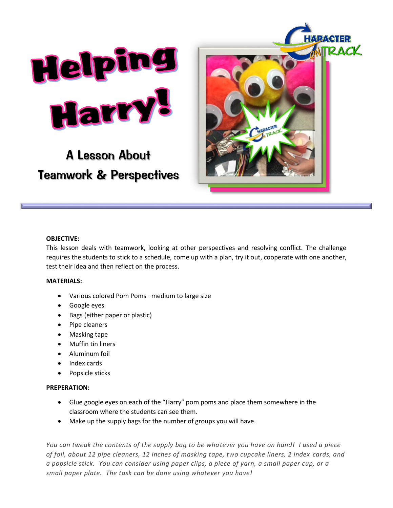

# A Lesson About Teamwork & Perspectives



### **OBJECTIVE:**

This lesson deals with teamwork, looking at other perspectives and resolving conflict. The challenge requires the students to stick to a schedule, come up with a plan, try it out, cooperate with one another, test their idea and then reflect on the process.

#### **MATERIALS:**

- Various colored Pom Poms –medium to large size
- Google eyes
- Bags (either paper or plastic)
- Pipe cleaners
- Masking tape
- Muffin tin liners
- Aluminum foil
- Index cards
- Popsicle sticks

#### **PREPERATION:**

- Glue google eyes on each of the "Harry" pom poms and place them somewhere in the classroom where the students can see them.
- Make up the supply bags for the number of groups you will have.

*You can tweak the contents of the supply bag to be whatever you have on hand! I used a piece of foil, about 12 pipe cleaners, 12 inches of masking tape, two cupcake liners, 2 index cards, and a popsicle stick. You can consider using paper clips, a piece of yarn, a small paper cup, or a small paper plate. The task can be done using whatever you have!*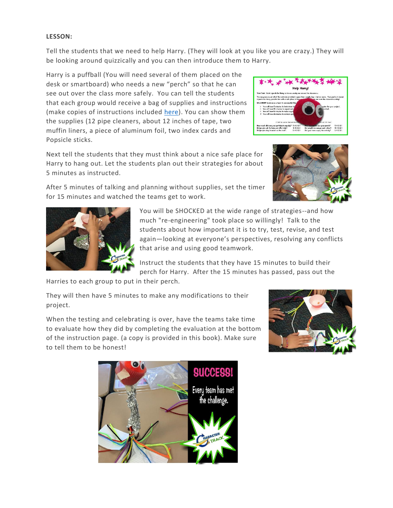## **LESSON:**

Tell the students that we need to help Harry. (They will look at you like you are crazy.) They will be looking around quizzically and you can then introduce them to Harry.

Harry is a puffball (You will need several of them placed on the desk or smartboard) who needs a new "perch" so that he can see out over the class more safely. You can tell the students that each group would receive a bag of supplies and instructions (make copies of instructions included [here\)](http://characterontrack.org/wp-content/uploads/2020/07/harry-project-instuctions.pdf). You can show them the supplies (12 pipe cleaners, about 12 inches of tape, two muffin liners, a piece of aluminum foil, two index cards and Popsicle sticks.



Next tell the students that they must think about a nice safe place for Harry to hang out. Let the students plan out their strategies for about 5 minutes as instructed.



After 5 minutes of talking and planning without supplies, set the timer for 15 minutes and watched the teams get to work.



You will be SHOCKED at the wide range of strategies--and how much "re-engineering" took place so willingly! Talk to the students about how important it is to try, test, revise, and test again—looking at everyone's perspectives, resolving any conflicts that arise and using good teamwork.

Instruct the students that they have 15 minutes to build their perch for Harry. After the 15 minutes has passed, pass out the

Harries to each group to put in their perch.

They will then have 5 minutes to make any modifications to their project.

When the testing and celebrating is over, have the teams take time to evaluate how they did by completing the evaluation at the bottom of the instruction page. (a copy is provided in this book). Make sure to tell them to be honest!